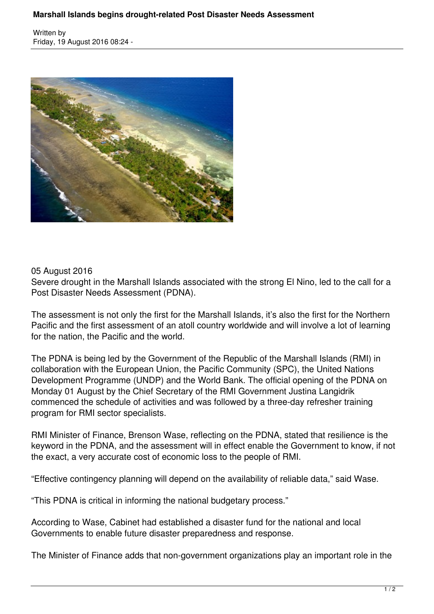Written by Friday, 19 August 2016 08:24 -



## 05 August 2016

Severe drought in the Marshall Islands associated with the strong El Nino, led to the call for a Post Disaster Needs Assessment (PDNA).

The assessment is not only the first for the Marshall Islands, it's also the first for the Northern Pacific and the first assessment of an atoll country worldwide and will involve a lot of learning for the nation, the Pacific and the world.

The PDNA is being led by the Government of the Republic of the Marshall Islands (RMI) in collaboration with the European Union, the Pacific Community (SPC), the United Nations Development Programme (UNDP) and the World Bank. The official opening of the PDNA on Monday 01 August by the Chief Secretary of the RMI Government Justina Langidrik commenced the schedule of activities and was followed by a three-day refresher training program for RMI sector specialists.

RMI Minister of Finance, Brenson Wase, reflecting on the PDNA, stated that resilience is the keyword in the PDNA, and the assessment will in effect enable the Government to know, if not the exact, a very accurate cost of economic loss to the people of RMI.

"Effective contingency planning will depend on the availability of reliable data," said Wase.

"This PDNA is critical in informing the national budgetary process."

According to Wase, Cabinet had established a disaster fund for the national and local Governments to enable future disaster preparedness and response.

The Minister of Finance adds that non-government organizations play an important role in the